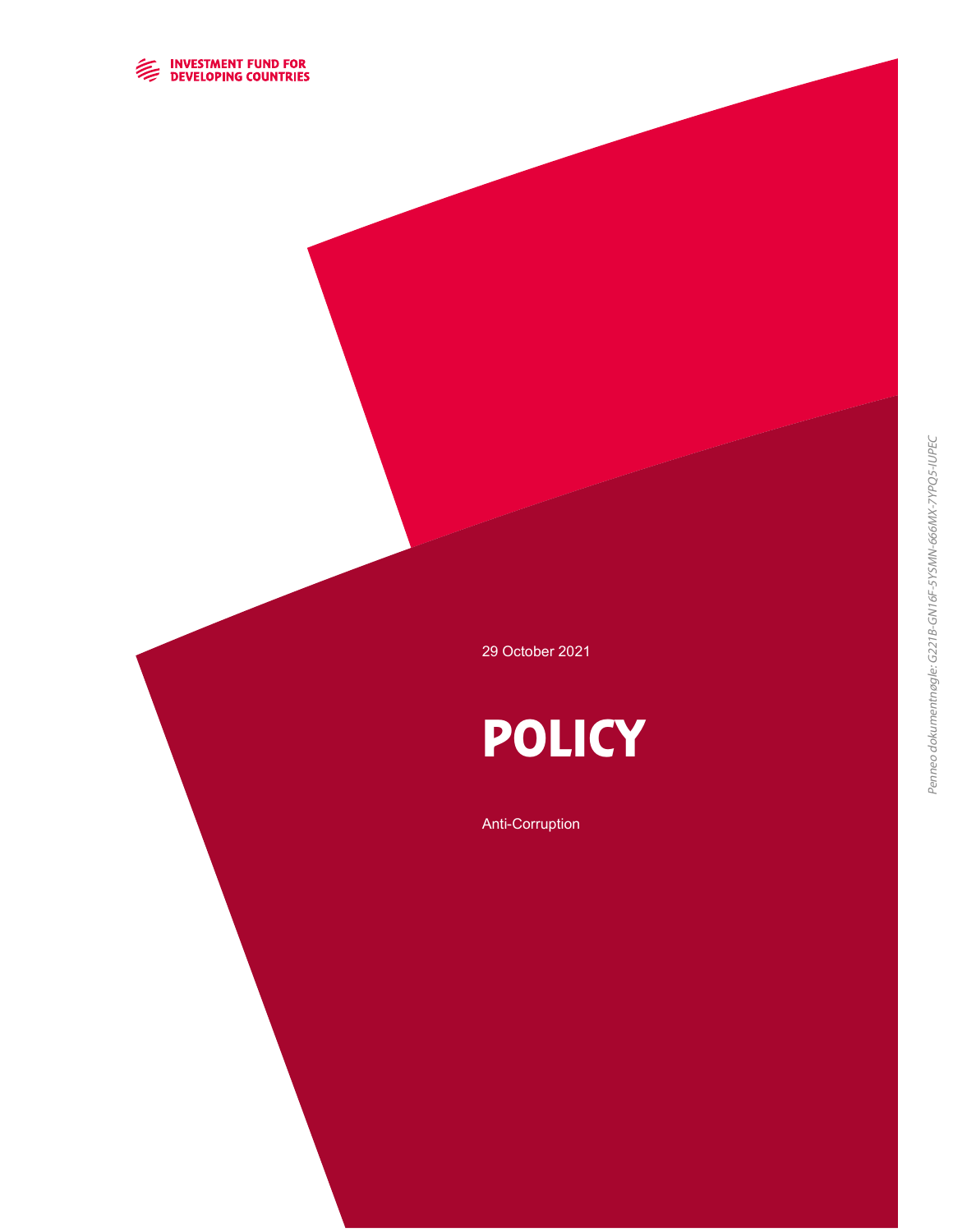

29 October 2021

# **POLICY**

#### Anti-Corruption

Penneo dokumentnøgle: G221B-GN16F-5YSMN-666MX-7YPQ5-IUPEC Penneo dokumentnøgle: G221B-GN16F-5YSMN-666MX-7YPQ5-IUPEC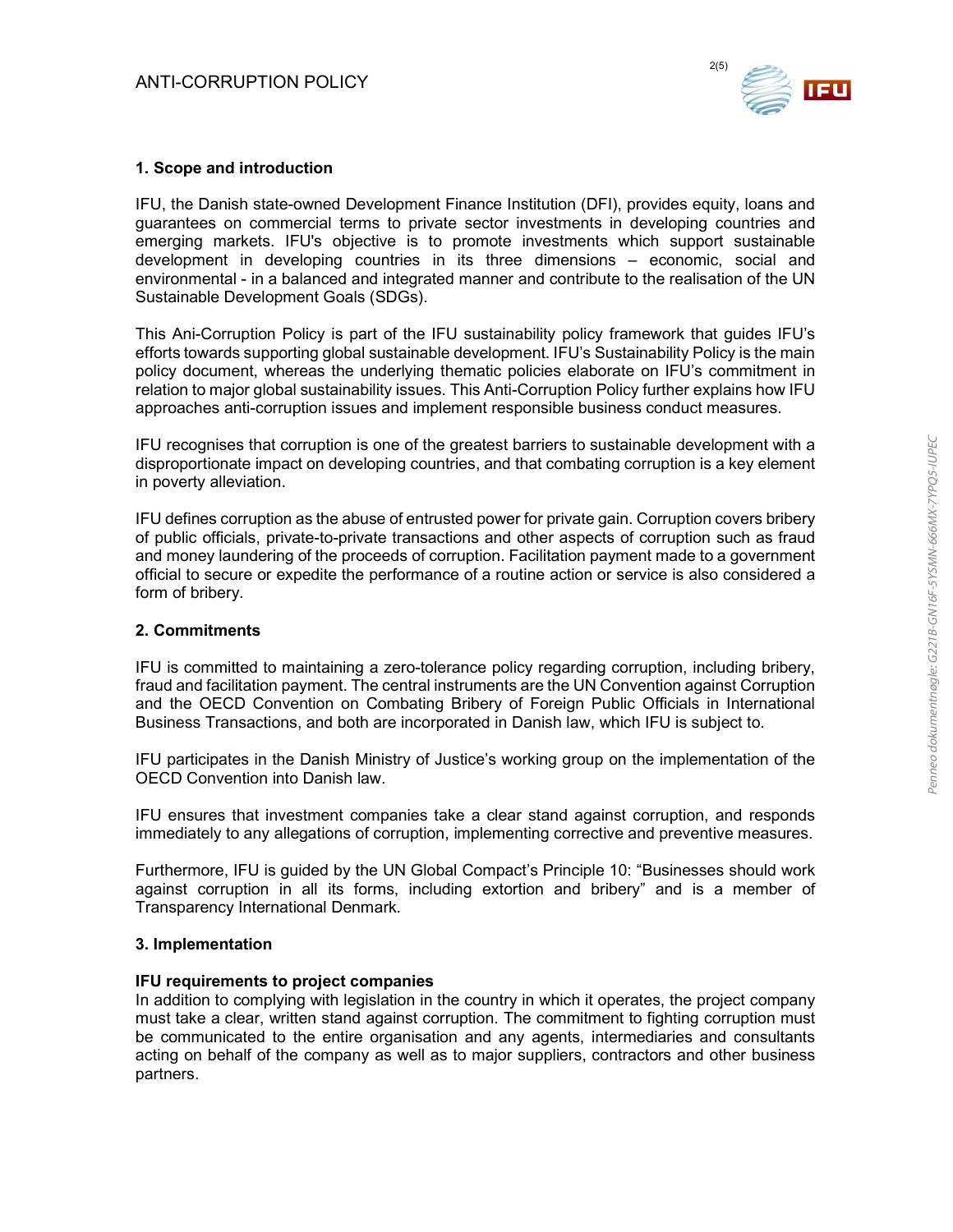

### 1. Scope and introduction

IFU, the Danish state-owned Development Finance Institution (DFI), provides equity, loans and guarantees on commercial terms to private sector investments in developing countries and emerging markets. IFU's objective is to promote investments which support sustainable development in developing countries in its three dimensions – economic, social and environmental - in a balanced and integrated manner and contribute to the realisation of the UN Sustainable Development Goals (SDGs).

This Ani-Corruption Policy is part of the IFU sustainability policy framework that guides IFU's efforts towards supporting global sustainable development. IFU's Sustainability Policy is the main policy document, whereas the underlying thematic policies elaborate on IFU's commitment in relation to major global sustainability issues. This Anti-Corruption Policy further explains how IFU approaches anti-corruption issues and implement responsible business conduct measures.

IFU recognises that corruption is one of the greatest barriers to sustainable development with a disproportionate impact on developing countries, and that combating corruption is a key element in poverty alleviation.

IFU defines corruption as the abuse of entrusted power for private gain. Corruption covers bribery of public officials, private-to-private transactions and other aspects of corruption such as fraud and money laundering of the proceeds of corruption. Facilitation payment made to a government official to secure or expedite the performance of a routine action or service is also considered a form of bribery.

#### 2. Commitments

IFU is committed to maintaining a zero-tolerance policy regarding corruption, including bribery, fraud and facilitation payment. The central instruments are the UN Convention against Corruption and the OECD Convention on Combating Bribery of Foreign Public Officials in International Business Transactions, and both are incorporated in Danish law, which IFU is subject to.

IFU participates in the Danish Ministry of Justice's working group on the implementation of the OECD Convention into Danish law.

IFU ensures that investment companies take a clear stand against corruption, and responds immediately to any allegations of corruption, implementing corrective and preventive measures.

Furthermore, IFU is guided by the UN Global Compact's Principle 10: "Businesses should work against corruption in all its forms, including extortion and bribery" and is a member of Transparency International Denmark.

#### 3. Implementation

#### IFU requirements to project companies

In addition to complying with legislation in the country in which it operates, the project company must take a clear, written stand against corruption. The commitment to fighting corruption must be communicated to the entire organisation and any agents, intermediaries and consultants acting on behalf of the company as well as to major suppliers, contractors and other business partners.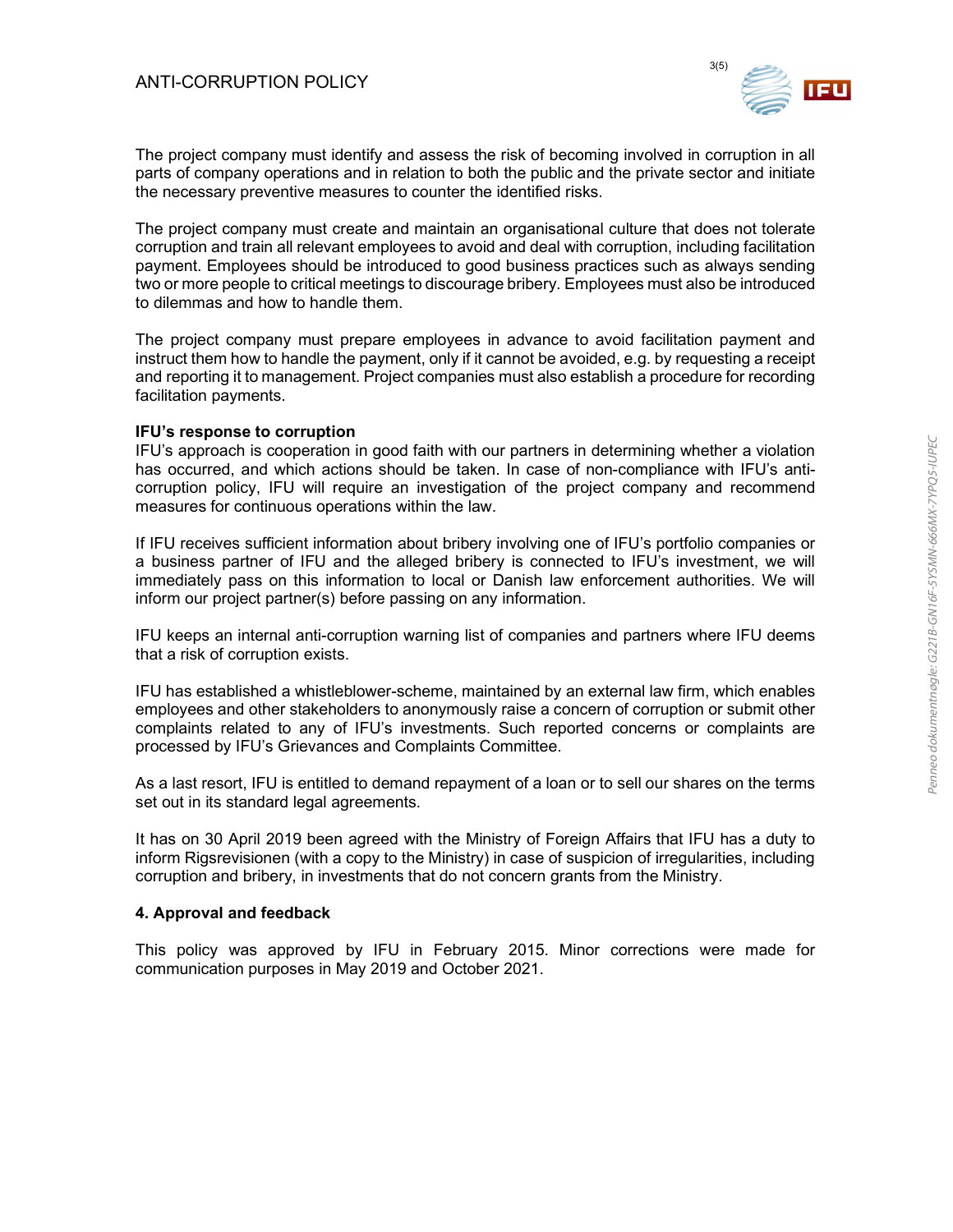

The project company must identify and assess the risk of becoming involved in corruption in all parts of company operations and in relation to both the public and the private sector and initiate the necessary preventive measures to counter the identified risks.

The project company must create and maintain an organisational culture that does not tolerate corruption and train all relevant employees to avoid and deal with corruption, including facilitation payment. Employees should be introduced to good business practices such as always sending two or more people to critical meetings to discourage bribery. Employees must also be introduced to dilemmas and how to handle them.

The project company must prepare employees in advance to avoid facilitation payment and instruct them how to handle the payment, only if it cannot be avoided, e.g. by requesting a receipt and reporting it to management. Project companies must also establish a procedure for recording facilitation payments.

#### IFU's response to corruption

IFU's approach is cooperation in good faith with our partners in determining whether a violation has occurred, and which actions should be taken. In case of non-compliance with IFU's anticorruption policy, IFU will require an investigation of the project company and recommend measures for continuous operations within the law.

If IFU receives sufficient information about bribery involving one of IFU's portfolio companies or a business partner of IFU and the alleged bribery is connected to IFU's investment, we will immediately pass on this information to local or Danish law enforcement authorities. We will inform our project partner(s) before passing on any information.

IFU keeps an internal anti-corruption warning list of companies and partners where IFU deems that a risk of corruption exists.

IFU has established a whistleblower-scheme, maintained by an external law firm, which enables employees and other stakeholders to anonymously raise a concern of corruption or submit other complaints related to any of IFU's investments. Such reported concerns or complaints are processed by IFU's Grievances and Complaints Committee.

As a last resort, IFU is entitled to demand repayment of a loan or to sell our shares on the terms set out in its standard legal agreements.

It has on 30 April 2019 been agreed with the Ministry of Foreign Affairs that IFU has a duty to inform Rigsrevisionen (with a copy to the Ministry) in case of suspicion of irregularities, including corruption and bribery, in investments that do not concern grants from the Ministry.

#### 4. Approval and feedback

This policy was approved by IFU in February 2015. Minor corrections were made for communication purposes in May 2019 and October 2021.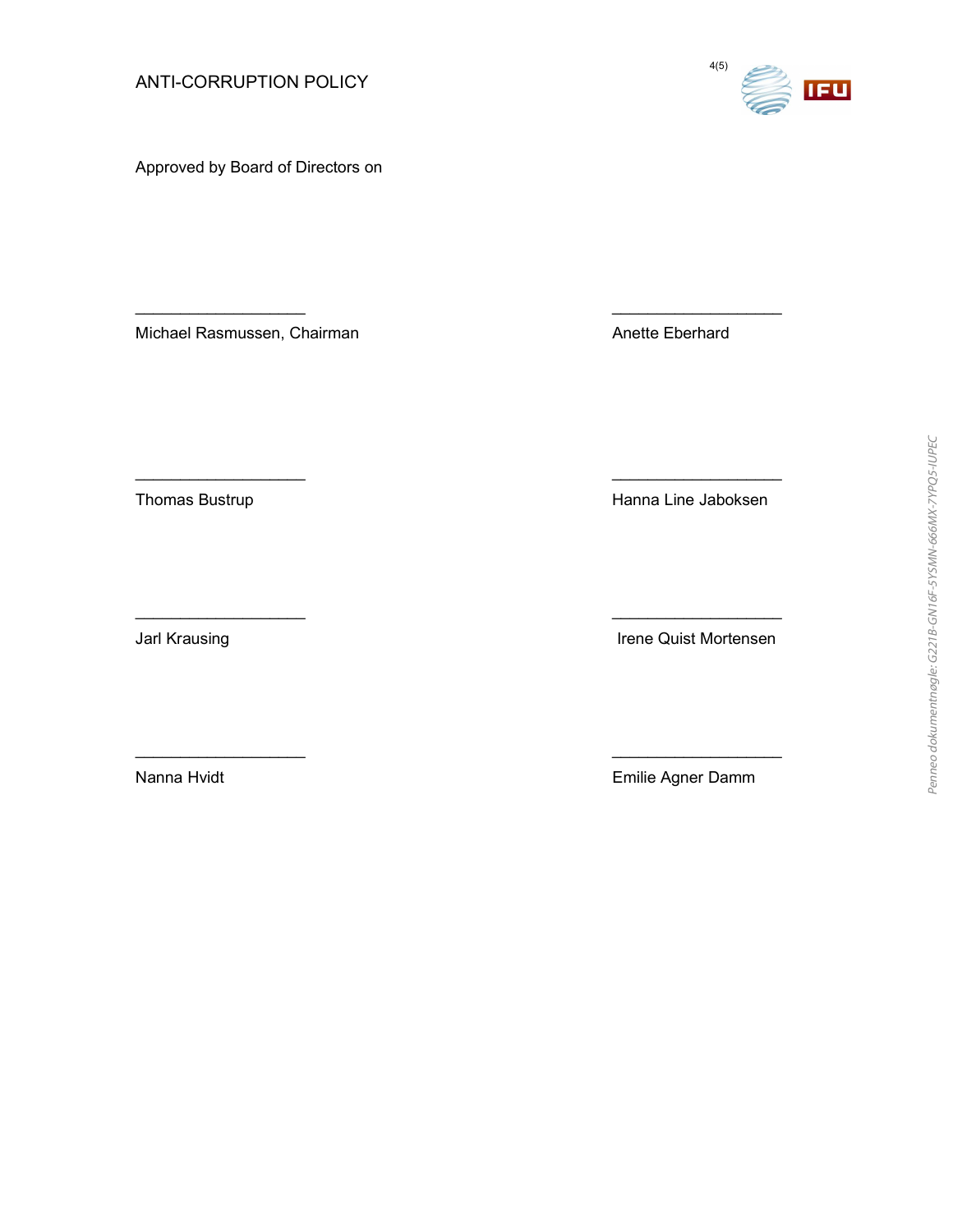Approved by Board of Directors on

Michael Rasmussen, Chairman Anette Eberhard

Thomas Bustrup **Hanna Line Jaboksen** 

Jarl Krausing **Irene Quist Mortensen** 

Nanna Hvidt **Nanna Hvidt** Emilie Agner Damm



\_\_\_\_\_\_\_\_\_\_\_\_\_\_\_\_\_\_\_ \_\_\_\_\_\_\_\_\_\_\_\_\_\_\_\_\_\_\_

\_\_\_\_\_\_\_\_\_\_\_\_\_\_\_\_\_\_\_ \_\_\_\_\_\_\_\_\_\_\_\_\_\_\_\_\_\_\_

\_\_\_\_\_\_\_\_\_\_\_\_\_\_\_\_\_\_\_ \_\_\_\_\_\_\_\_\_\_\_\_\_\_\_\_\_\_\_

\_\_\_\_\_\_\_\_\_\_\_\_\_\_\_\_\_\_\_ \_\_\_\_\_\_\_\_\_\_\_\_\_\_\_\_\_\_\_

ANTI-CORRUPTION POLICY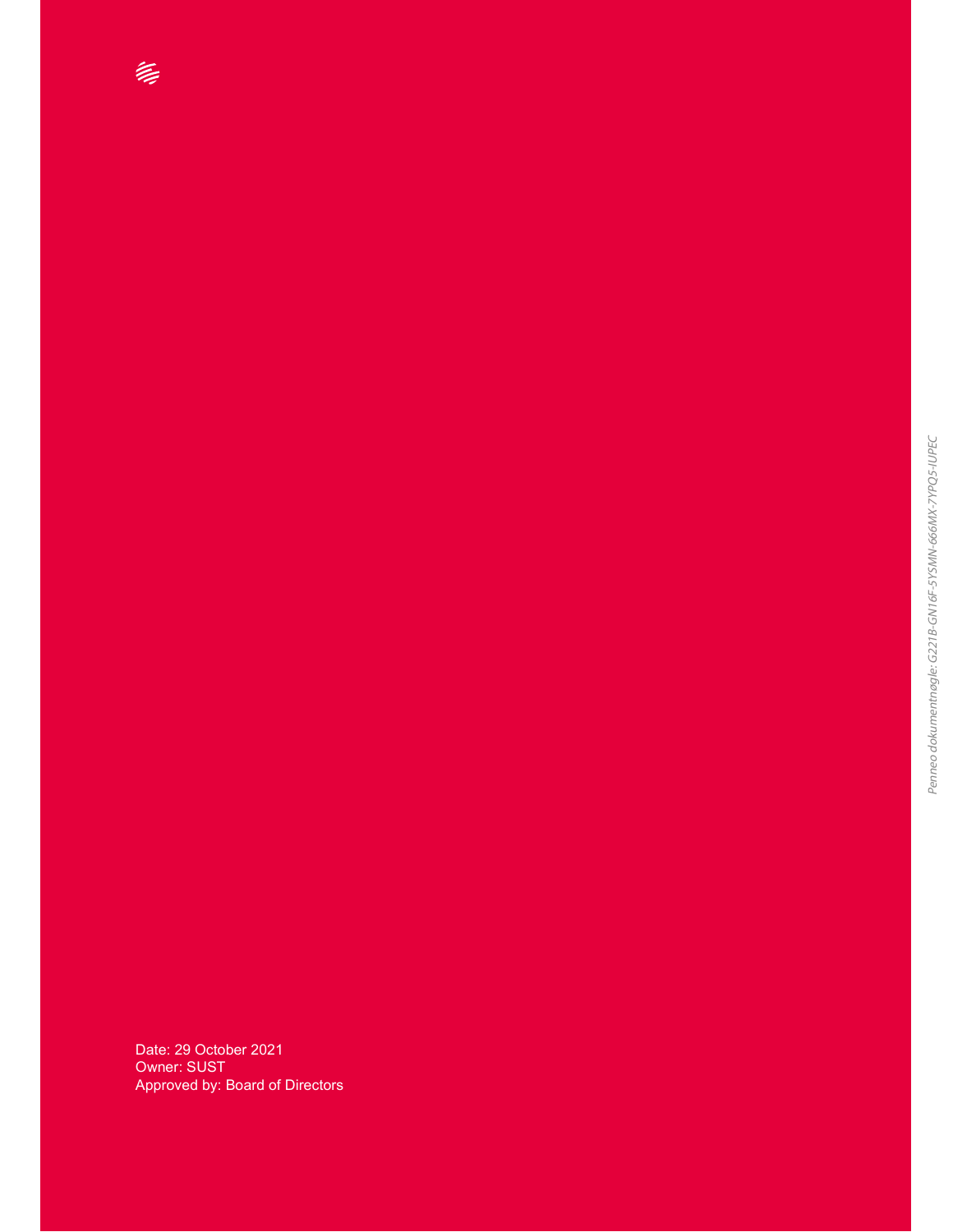Date: 29 October 2021 Owner: SUST Approved by: Board of Directors

ANTI-CORRUPTION POLICY